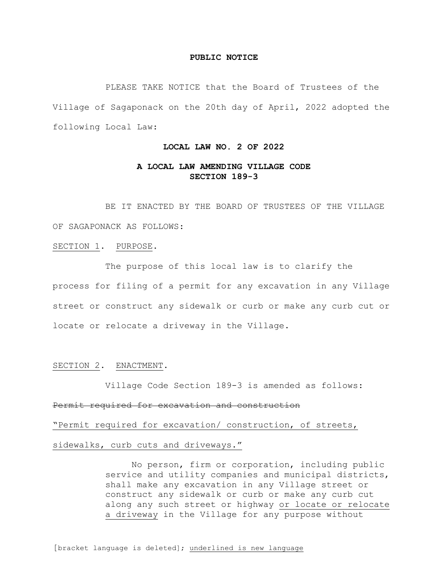#### **PUBLIC NOTICE**

PLEASE TAKE NOTICE that the Board of Trustees of the Village of Sagaponack on the 20th day of April, 2022 adopted the following Local Law:

### **LOCAL LAW NO. 2 OF 2022**

## **A LOCAL LAW AMENDING VILLAGE CODE SECTION 189-3**

BE IT ENACTED BY THE BOARD OF TRUSTEES OF THE VILLAGE OF SAGAPONACK AS FOLLOWS:

#### SECTION 1. PURPOSE.

The purpose of this local law is to clarify the process for filing of a permit for any excavation in any Village street or construct any sidewalk or curb or make any curb cut or locate or relocate a driveway in the Village.

#### SECTION 2. ENACTMENT.

Village Code Section 189-3 is amended as follows:

#### Permit required for excavation and construction

"Permit required for excavation/ construction, of streets,

### sidewalks, curb cuts and driveways."

No person, firm or corporation, including public service and utility companies and municipal districts, shall make any excavation in any Village street or construct any sidewalk or curb or make any curb cut along any such street or highway or locate or relocate a driveway in the Village for any purpose without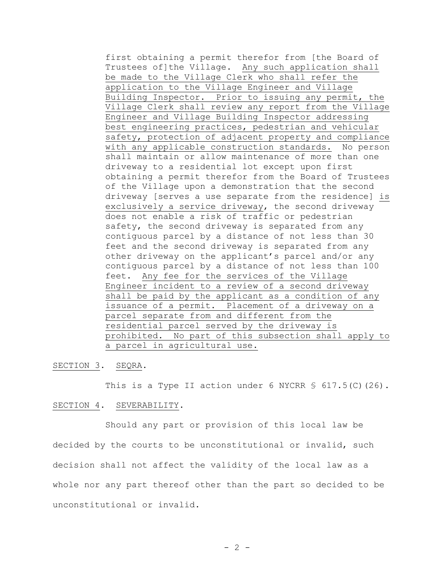first obtaining a permit therefor from [the Board of Trustees of]the Village. Any such application shall be made to the Village Clerk who shall refer the application to the Village Engineer and Village Building Inspector. Prior to issuing any permit, the Village Clerk shall review any report from the Village Engineer and Village Building Inspector addressing best engineering practices, pedestrian and vehicular safety, protection of adjacent property and compliance with any applicable construction standards. No person shall maintain or allow maintenance of more than one driveway to a residential lot except upon first obtaining a permit therefor from the Board of Trustees of the Village upon a demonstration that the second driveway [serves a use separate from the residence] is exclusively a service driveway, the second driveway does not enable a risk of traffic or pedestrian safety, the second driveway is separated from any contiguous parcel by a distance of not less than 30 feet and the second driveway is separated from any other driveway on the applicant's parcel and/or any contiguous parcel by a distance of not less than 100 feet. Any fee for the services of the Village Engineer incident to a review of a second driveway shall be paid by the applicant as a condition of any issuance of a permit. Placement of a driveway on a parcel separate from and different from the residential parcel served by the driveway is prohibited. No part of this subsection shall apply to a parcel in agricultural use.

SECTION 3. SEQRA.

This is a Type II action under 6 NYCRR § 617.5(C)(26).

### SECTION 4. SEVERABILITY.

Should any part or provision of this local law be decided by the courts to be unconstitutional or invalid, such decision shall not affect the validity of the local law as a whole nor any part thereof other than the part so decided to be unconstitutional or invalid.